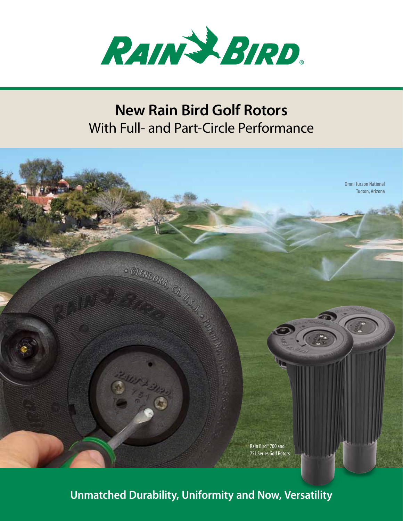

## **New Rain Bird Golf Rotors**  With Full- and Part-Circle Performance



**Unmatched Durability, Uniformity and Now, Versatility**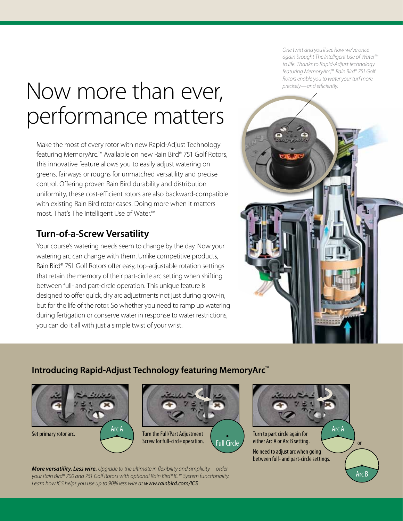# Now more than ever, performance matters

Make the most of every rotor with new Rapid-Adjust Technology featuring MemoryArc.™ Available on new Rain Bird® 751 Golf Rotors, this innovative feature allows you to easily adjust watering on greens, fairways or roughs for unmatched versatility and precise control. Offering proven Rain Bird durability and distribution uniformity, these cost-efficient rotors are also backward-compatible with existing Rain Bird rotor cases. Doing more when it matters most. That's The Intelligent Use of Water.™

## **Turn-of-a-Screw Versatility**

Your course's watering needs seem to change by the day. Now your watering arc can change with them. Unlike competitive products, Rain Bird® 751 Golf Rotors offer easy, top-adjustable rotation settings that retain the memory of their part-circle arc setting when shifting between full- and part-circle operation. This unique feature is designed to offer quick, dry arc adjustments not just during grow-in, but for the life of the rotor. So whether you need to ramp up watering during fertigation or conserve water in response to water restrictions, you can do it all with just a simple twist of your wrist.

*One twist and you'll see how we've once again brought The Intelligent Use of Water™ to life. Thanks to Rapid-Adjust technology featuring MemoryArc,™ Rain Bird® 751 Golf Rotors enable you to water your turf more precisely—and efficiently.*



#### **Introducing Rapid-Adjust Technology featuring MemoryArc™**

Arc A



Full Circle

Set primary rotor arc. **Turn the Full/Part Adjustment** Screw for full‑circle operation.



*More versatility. Less wire. Upgrade to the ultimate in flexibility and simplicity—order your Rain Bird® 700 and 751 Golf Rotors with optional Rain Bird® IC™ System functionality. Learn how ICS helps you use up to 90% less wire at www.rainbird.com/ICS*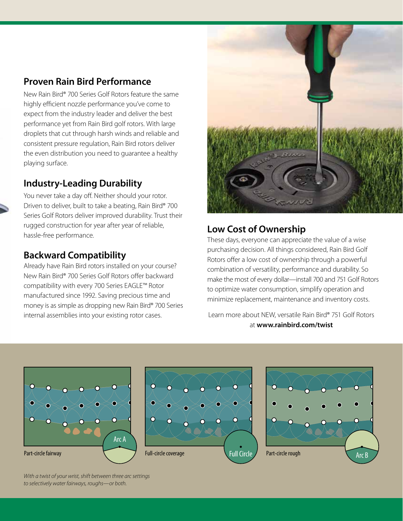#### **Proven Rain Bird Performance**

New Rain Bird® 700 Series Golf Rotors feature the same highly efficient nozzle performance you've come to expect from the industry leader and deliver the best performance yet from Rain Bird golf rotors. With large droplets that cut through harsh winds and reliable and consistent pressure regulation, Rain Bird rotors deliver the even distribution you need to guarantee a healthy playing surface.

## **Industry-Leading Durability**

You never take a day off. Neither should your rotor. Driven to deliver, built to take a beating, Rain Bird® 700 Series Golf Rotors deliver improved durability. Trust their rugged construction for year after year of reliable, hassle-free performance.

#### **Backward Compatibility**

Already have Rain Bird rotors installed on your course? New Rain Bird® 700 Series Golf Rotors offer backward compatibility with every 700 Series EAGLE™ Rotor manufactured since 1992. Saving precious time and money is as simple as dropping new Rain Bird® 700 Series internal assemblies into your existing rotor cases.



## **Low Cost of Ownership**

These days, everyone can appreciate the value of a wise purchasing decision. All things considered, Rain Bird Golf Rotors offer a low cost of ownership through a powerful combination of versatility, performance and durability. So make the most of every dollar—install 700 and 751 Golf Rotors to optimize water consumption, simplify operation and minimize replacement, maintenance and inventory costs.

Learn more about NEW, versatile Rain Bird® 751 Golf Rotors at **www.rainbird.com/twist**



*With a twist of your wrist, shift between three arc settings to selectively water fairways, roughs—or both.*